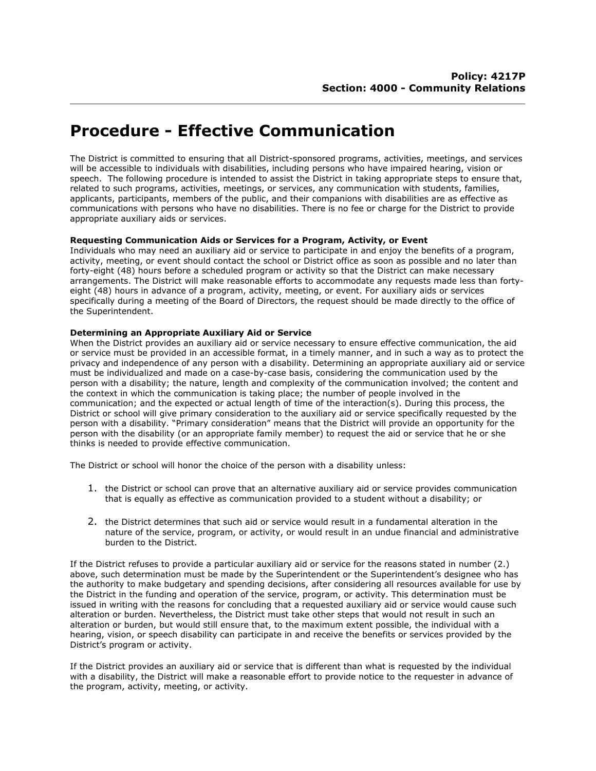# **Procedure - Effective Communication**

The District is committed to ensuring that all District-sponsored programs, activities, meetings, and services will be accessible to individuals with disabilities, including persons who have impaired hearing, vision or speech. The following procedure is intended to assist the District in taking appropriate steps to ensure that, related to such programs, activities, meetings, or services, any communication with students, families, applicants, participants, members of the public, and their companions with disabilities are as effective as communications with persons who have no disabilities. There is no fee or charge for the District to provide appropriate auxiliary aids or services.

## **Requesting Communication Aids or Services for a Program, Activity, or Event**

Individuals who may need an auxiliary aid or service to participate in and enjoy the benefits of a program, activity, meeting, or event should contact the school or District office as soon as possible and no later than forty-eight (48) hours before a scheduled program or activity so that the District can make necessary arrangements. The District will make reasonable efforts to accommodate any requests made less than fortyeight (48) hours in advance of a program, activity, meeting, or event. For auxiliary aids or services specifically during a meeting of the Board of Directors, the request should be made directly to the office of the Superintendent.

### **Determining an Appropriate Auxiliary Aid or Service**

When the District provides an auxiliary aid or service necessary to ensure effective communication, the aid or service must be provided in an accessible format, in a timely manner, and in such a way as to protect the privacy and independence of any person with a disability. Determining an appropriate auxiliary aid or service must be individualized and made on a case-by-case basis, considering the communication used by the person with a disability; the nature, length and complexity of the communication involved; the content and the context in which the communication is taking place; the number of people involved in the communication; and the expected or actual length of time of the interaction(s). During this process, the District or school will give primary consideration to the auxiliary aid or service specifically requested by the person with a disability. "Primary consideration" means that the District will provide an opportunity for the person with the disability (or an appropriate family member) to request the aid or service that he or she thinks is needed to provide effective communication.

The District or school will honor the choice of the person with a disability unless:

- 1. the District or school can prove that an alternative auxiliary aid or service provides communication that is equally as effective as communication provided to a student without a disability; or
- 2. the District determines that such aid or service would result in a fundamental alteration in the nature of the service, program, or activity, or would result in an undue financial and administrative burden to the District.

If the District refuses to provide a particular auxiliary aid or service for the reasons stated in number (2.) above, such determination must be made by the Superintendent or the Superintendent's designee who has the authority to make budgetary and spending decisions, after considering all resources available for use by the District in the funding and operation of the service, program, or activity. This determination must be issued in writing with the reasons for concluding that a requested auxiliary aid or service would cause such alteration or burden. Nevertheless, the District must take other steps that would not result in such an alteration or burden, but would still ensure that, to the maximum extent possible, the individual with a hearing, vision, or speech disability can participate in and receive the benefits or services provided by the District's program or activity.

If the District provides an auxiliary aid or service that is different than what is requested by the individual with a disability, the District will make a reasonable effort to provide notice to the requester in advance of the program, activity, meeting, or activity.